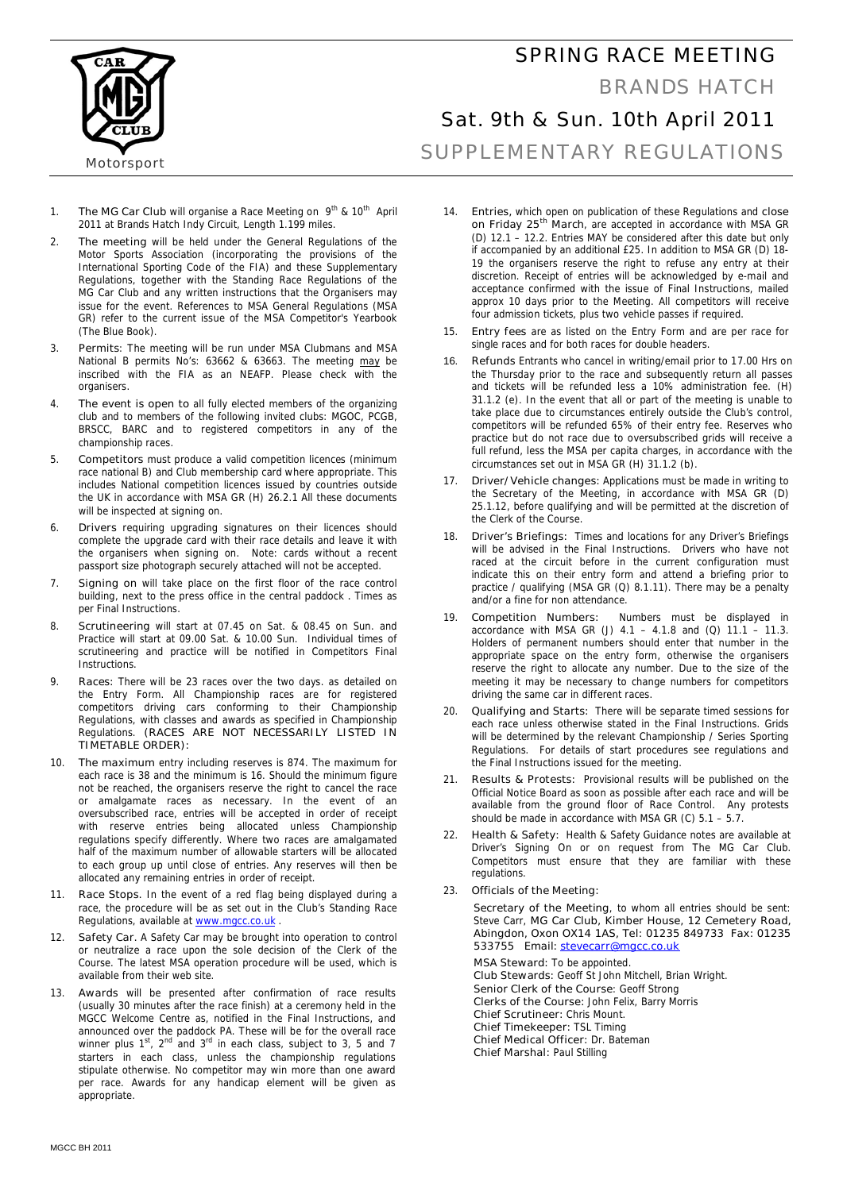### SPRING RACE MEETING



#### BRANDS HATCH

# Sat. 9th & Sun. 10th April 2011

SUPPLEMENTARY REGULATIONS

- 1. **The MG Car Club** will organise a Race Meeting on 9<sup>th</sup> & 10<sup>th</sup> April 2011 at Brands Hatch Indy Circuit, Length 1.199 miles.
- 2. **The meeting** will be held under the General Regulations of the Motor Sports Association (incorporating the provisions of the International Sporting Code of the FIA) and these Supplementary Regulations, together with the Standing Race Regulations of the MG Car Club and any written instructions that the Organisers may issue for the event. References to MSA General Regulations (MSA GR) refer to the current issue of the MSA Competitor's Yearbook (The Blue Book).
- 3. **Permits**: The meeting will be run under MSA Clubmans and MSA National B permits No's: 63662 & 63663. The meeting may be inscribed with the FIA as an NEAFP. Please check with the organisers.
- 4. **The event is open to** all fully elected members of the organizing club and to members of the following invited clubs: MGOC, PCGB, BRSCC, BARC and to registered competitors in any of the championship races.
- 5. **Competitors** must produce a valid competition licences (minimum race national B) and Club membership card where appropriate. This includes National competition licences issued by countries outside the UK in accordance with MSA GR (H) 26.2.1 All these documents will be inspected at signing on.
- 6. **Drivers** requiring upgrading signatures on their licences should complete the upgrade card with their race details and leave it with the organisers when signing on. Note: cards without a recent passport size photograph securely attached will not be accepted.
- 7. **Signing on** will take place on the first floor of the race control building, next to the press office in the central paddock **.** Times as per Final Instructions.
- 8. **Scrutineering** will start at 07.45 on Sat. & 08.45 on Sun. and Practice will start at 09.00 Sat. & 10.00 Sun. Individual times of scrutineering and practice will be notified in Competitors Final **Instructions**
- 9. **Races:** There will be 23 races over the two days. as detailed on the Entry Form. All Championship races are for registered competitors driving cars conforming to their Championship Regulations, with classes and awards as specified in Championship Regulations. **(RACES ARE NOT NECESSARILY LISTED IN TIMETABLE ORDER):**
- 10. **The maximum** entry including reserves is 874. The maximum for each race is 38 and the minimum is 16. Should the minimum figure not be reached, the organisers reserve the right to cancel the race or amalgamate races as necessary. In the event of an oversubscribed race, entries will be accepted in order of receipt with reserve entries being allocated unless Championship regulations specify differently. Where two races are amalgamated half of the maximum number of allowable starters will be allocated to each group up until close of entries. Any reserves will then be allocated any remaining entries in order of receipt.
- 11. **Race Stops.** In the event of a red flag being displayed during a race, the procedure will be as set out in the Club's Standing Race Regulations, available at www.mgcc.co.uk
- 12. **Safety Car.** A Safety Car may be brought into operation to control or neutralize a race upon the sole decision of the Clerk of the Course. The latest MSA operation procedure will be used, which is available from their web site.
- 13. **Awards** will be presented after confirmation of race results (usually 30 minutes after the race finish) at a ceremony held in the MGCC Welcome Centre as, notified in the Final Instructions, and announced over the paddock PA. These will be for the overall race winner plus  $1<sup>st</sup>$ ,  $2<sup>nd</sup>$  and  $3<sup>rd</sup>$  in each class, subject to 3, 5 and 7 starters in each class, unless the championship regulations stipulate otherwise. No competitor may win more than one award per race. Awards for any handicap element will be given as appropriate.
- 14. **Entries,** which open on publication of these Regulations and **close on Friday 25th March**, are accepted in accordance with MSA GR (D) 12.1 – 12.2. Entries MAY be considered after this date but only if accompanied by an additional £25. In addition to MSA GR (D) 18- 19 the organisers reserve the right to refuse any entry at their discretion. Receipt of entries will be acknowledged by e-mail and acceptance confirmed with the issue of Final Instructions, mailed approx 10 days prior to the Meeting. All competitors will receive four admission tickets, plus two vehicle passes if required.
- 15. **Entry fees** are as listed on the Entry Form and are per race for single races and for both races for double headers.
- 16. **Refunds** Entrants who cancel in writing/email prior to 17.00 Hrs on the Thursday prior to the race and subsequently return all passes and tickets will be refunded less a 10% administration fee. (H) 31.1.2 (e). In the event that all or part of the meeting is unable to take place due to circumstances entirely outside the Club's control, competitors will be refunded 65% of their entry fee. Reserves who practice but do not race due to oversubscribed grids will receive a full refund, less the MSA per capita charges, in accordance with the circumstances set out in MSA GR (H) 31.1.2 (b).
- 17. **Driver/Vehicle changes:** Applications must be made in writing to the Secretary of the Meeting, in accordance with MSA GR (D) 25.1.12, before qualifying and will be permitted at the discretion of the Clerk of the Course.
- 18. **Driver's Briefings:** Times and locations for any Driver's Briefings will be advised in the Final Instructions. Drivers who have not raced at the circuit before in the current configuration must indicate this on their entry form and attend a briefing prior to practice / qualifying (MSA GR (Q) 8.1.11). There may be a penalty and/or a fine for non attendance.
- 19. **Competition Numbers:** Numbers must be displayed in accordance with MSA GR (J)  $4.1 - 4.1.8$  and (Q)  $11.1 - 11.3$ . Holders of permanent numbers should enter that number in the appropriate space on the entry form, otherwise the organisers reserve the right to allocate any number. Due to the size of the meeting it may be necessary to change numbers for competitors driving the same car in different races.
- 20. **Qualifying and Starts:** There will be separate timed sessions for each race unless otherwise stated in the Final Instructions. Grids will be determined by the relevant Championship / Series Sporting Regulations. For details of start procedures see regulations and the Final Instructions issued for the meeting.
- 21. **Results & Protests:** Provisional results will be published on the Official Notice Board as soon as possible after each race and will be available from the ground floor of Race Control. Any protests should be made in accordance with MSA GR (C)  $5.1 - 5.7$
- 22. **Health & Safety:** Health & Safety Guidance notes are available at Driver's Signing On or on request from The MG Car Club. Competitors must ensure that they are familiar with these regulations.
- 23. **Officials of the Meeting:**

 **Secretary of the Meeting**, to whom all entries should be sent: Steve Carr, **MG Car Club, Kimber House, 12 Cemetery Road, Abingdon, Oxon OX14 1AS, Tel: 01235 849733 Fax: 01235 533755 Email: stevecarr@mgcc.co.uk**

**MSA Steward:** To be appointed. **Club Stewards:** Geoff St John Mitchell, Brian Wright. **Senior Clerk of the Course**: Geoff Strong **Clerks of the Course:** John Felix, Barry Morris **Chief Scrutineer:** Chris Mount. **Chief Timekeeper:** TSL Timing **Chief Medical Officer:** Dr. Bateman **Chief Marshal:** Paul Stilling